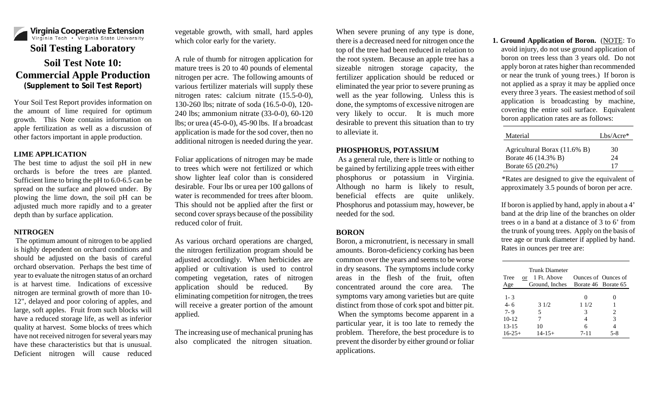

Your Soil Test Report provides information on the amount of lime required for optimum growth. This Note contains information on apple fertilization as well as a discussion of other factors important in apple production.

#### **LIME APPLICATION**

The best time to adjust the soil pH in new orchards is before the trees are planted. Sufficient lime to bring the pH to 6.0-6.5 can be spread on the surface and plowed under. By plowing the lime down, the soil pH can be adjusted much more rapidly and to a greater depth than by surface application.

## **NITROGEN**

The optimum amount of nitrogen to be applied is highly dependent on orchard conditions and should be adjusted on the basis of careful orchard observation. Perhaps the best time of year to evaluate the nitrogen status of an orchard is at harvest time. Indications of excessive nitrogen are terminal growth of more than 10- 12", delayed and poor coloring of apples, and large, soft apples. Fruit from such blocks will have a reduced storage life, as well as inferior quality at harvest. Some blocks of trees which have not received nitrogen for several years may have these characteristics but that is unusual. Deficient nitrogen will cause reduced

vegetable growth, with small, hard apples which color early for the variety.

A rule of thumb for nitrogen application for mature trees is 20 to 40 pounds of elemental nitrogen per acre. The following amounts of various fertilizer materials will supply these nitrogen rates: calcium nitrate (15.5-0-0), 130-260 lbs; nitrate of soda (16.5-0-0), 120- 240 lbs; ammonium nitrate (33-0-0), 60-120 lbs; or urea (45-0-0), 45-90 lbs. If a broadcast application is made for the sod cover, then no additional nitrogen is needed during the year.

Foliar applications of nitrogen may be made to trees which were not fertilized or which show lighter leaf color than is considered desirable. Four lbs or urea per 100 gallons of water is recommended for trees after bloom. This should not be applied after the first or second cover sprays because of the possibility reduced color of fruit.

As various orchard operations are charged, the nitrogen fertilization program should be adjusted accordingly. When herbicides are applied or cultivation is used to control competing vegetation, rates of nitrogen application should be reduced. By eliminating competition for nitrogen, the trees will receive a greater portion of the amount applied.

The increasing use of mechanical pruning has also complicated the nitrogen situation.

When severe pruning of any type is done, there is a decreased need for nitrogen once the top of the tree had been reduced in relation to the root system. Because an apple tree has a sizeable nitrogen storage capacity, the fertilizer application should be reduced or eliminated the year prior to severe pruning as well as the year following. Unless this is done, the symptoms of excessive nitrogen are very likely to occur. It is much more desirable to prevent this situation than to try to alleviate it.

# **PHOSPHORUS, POTASSIUM**

As a general rule, there is little or nothing to be gained by fertilizing apple trees with either phosphorus or potassium in Virginia. Although no harm is likely to result, beneficial effects are quite unlikely. Phosphorus and potassium may, however, be needed for the sod.

## **BORON**

Boron, a micronutrient, is necessary in small amounts. Boron-deficiency corking has been common over the years and seems to be worse in dry seasons. The symptoms include corky areas in the flesh of the fruit, often concentrated around the core area. The symptoms vary among varieties but are quite distinct from those of cork spot and bitter pit. When the symptoms become apparent in a particular year, it is too late to remedy the problem. Therefore, the best procedure is to prevent the disorder by either ground or foliar applications.

**1. Ground Application of Boron.** (NOTE: To avoid injury, do not use ground application of boron on trees less than 3 years old. Do not apply boron at rates higher than recommended or near the trunk of young trees.) If boron is not applied as a spray it may be applied once every three 3 years. The easiest method of soil application is broadcasting by machine, covering the entire soil surface. Equivalent boron application rates are as follows:

| Material                     | $Lbs/Accre*$ |
|------------------------------|--------------|
| Agricultural Borax (11.6% B) | 30           |
| Borate 46 (14.3% B)          | 24           |
| Borate 65 (20.2%)            | 17           |

\*Rates are designed to give the equivalent of approximately 3.5 pounds of boron per acre.

If boron is applied by hand, apply in about a 4' band at the drip line of the branches on older trees o in a band at a distance of 3 to 6' from the trunk of young trees. Apply on the basis of tree age or trunk diameter if applied by hand. Rates in ounces per tree are:

| Tree<br>Age                     | Trunk Diameter<br>1 Ft. Above<br><b>or</b><br>Ground, Inches Borate 46 Borate 65 |                                | Qunces of Qunces of |
|---------------------------------|----------------------------------------------------------------------------------|--------------------------------|---------------------|
| $1 - 3$<br>$4 - 6$<br>$7 - 9$   | 31/2<br>5                                                                        | $\mathbf{\Omega}$<br>11/2<br>3 | 2                   |
| $10-12$<br>13-15<br>$16 - 25 +$ | 10<br>$14 - 15 +$                                                                | 4<br>6<br>$7 - 11$             | 3<br>4<br>$5-8$     |